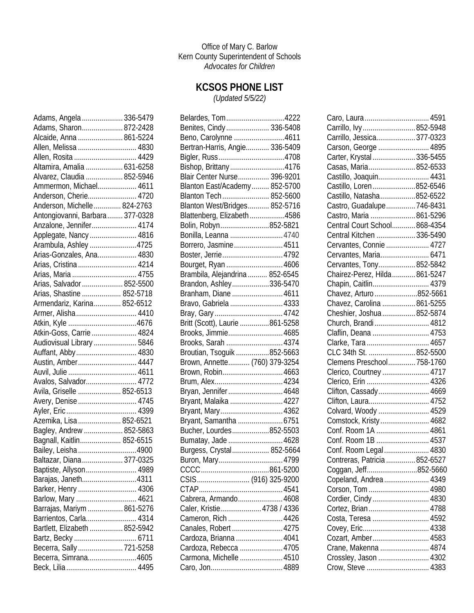Office of Mary C. Barlow Kern County Superintendent of Schools *Advocates for Children*

## **KCSOS PHONE LIST**

*(Updated 5/5/22)*

| Adams, Angela  336-5479         |  |
|---------------------------------|--|
| Adams, Sharon 872-2428          |  |
| Alcaide, Anna  861-5224         |  |
| Allen, Melissa  4830            |  |
| Allen, Rosita  4429             |  |
| Altamira, Amalia  631-6258      |  |
| Alvarez, Claudia  852-5946      |  |
| Ammermon, Michael 4611          |  |
| Anderson, Cherie 4720           |  |
| Anderson, Michelle  824-2763    |  |
| Antongiovanni, Barbara 377-0328 |  |
| Anzalone, Jennifer 4174         |  |
| Applegate, Nancy  4816          |  |
| Arambula, Ashley 4725           |  |
| Arias-Gonzales, Ana 4830        |  |
| Arias, Cristina  4214           |  |
|                                 |  |
| Arias, Salvador  852-5500       |  |
| Arias, Shastine  852-5718       |  |
| Armendariz, Karina 852-6512     |  |
| Armer, Alisha 4410              |  |
|                                 |  |
| Atkin-Goss, Carrie  4824        |  |
| Audiovisual Library  5846       |  |
| Auffant, Abby 4830              |  |
| Austin, Amber 4447              |  |
|                                 |  |
| Avalos, Salvador 4772           |  |
| Avila, Griselle  852-6513       |  |
| Avery, Denise  4745             |  |
|                                 |  |
| Azemika, Lisa  852-6521         |  |
| Bagley, Andrew  852-5863        |  |
| Bagnall, Kaitlin 852-6515       |  |
| Bailey, Leisha 4900             |  |
| Baltazar, Diana 377-0325        |  |
| Baptiste, Allyson 4989          |  |
| Barajas, Janeth4311             |  |
| Barker, Henry  4306             |  |
| Barlow, Mary  4621              |  |
| Barrajas, Mariym  861-5276      |  |
| Barrientos, Carla 4314          |  |
| Bartlett, Elizabeth  852-5942   |  |
| Bartz, Becky  6711              |  |
| Becerra, Sally 721-5258         |  |
| Becerra, Simrana4605            |  |
|                                 |  |

| Belardes, Tom4222                                |  |
|--------------------------------------------------|--|
| Benites, Cindy 336-5408                          |  |
| Beno, Carolynne 4611                             |  |
| Bertran-Harris, Angie 336-5409                   |  |
|                                                  |  |
| Bishop, Brittany4176                             |  |
| Blair Center Nurse 396-9201                      |  |
| Blanton East/Academy 852-5700                    |  |
| Blanton Tech 852-5600                            |  |
| Blanton West/Bridges 852-5716                    |  |
| Blattenberg, Elizabeth4586                       |  |
| Bolin, Robyn852-5821                             |  |
| Bonilla, Leanna  4740                            |  |
| Borrero, Jasmine 4511                            |  |
| Boster, Jerrie 4792                              |  |
| Bourget, Ryan  4606                              |  |
| Brambila, Alejandrina 852-6545                   |  |
| Brandon, Ashley336-5470                          |  |
| Branham, Diane  4611                             |  |
| Bravo, Gabriela  4333                            |  |
|                                                  |  |
| Britt (Scott), Laurie 861-5258                   |  |
| Brooks, Jimmie 4685                              |  |
| Brooks, Sarah  4374                              |  |
| Broutian, Tsoguik 852-5663                       |  |
| Brown, Annette (760) 379-3254                    |  |
| Brown, Robin 4663                                |  |
|                                                  |  |
| Bryan, Jennifer4648                              |  |
| Bryant, Malaika  4227                            |  |
| Bryant, Mary 4362                                |  |
| Bryant, Samantha 6751                            |  |
| Bucher, Lourdes852-5503                          |  |
|                                                  |  |
| Bumatay, Jade  4628<br>Burgess, Crystal 852-5664 |  |
|                                                  |  |
| Buron, Mary4799                                  |  |
|                                                  |  |
| CSIS (916) 325-9200                              |  |
|                                                  |  |
| Cabrera, Armando 4608                            |  |
| Caler, Kristie 4738 / 4336                       |  |
| Cameron, Rich 4426                               |  |
| Canales, Robert  4275                            |  |
| Cardoza, Brianna  4041                           |  |
| Cardoza, Rebecca  4705                           |  |
| Carmona, Michelle  4510                          |  |
|                                                  |  |

| Caro, Laura 4591               |  |
|--------------------------------|--|
| Carrillo, Ivy852-5948          |  |
| Carrillo, Jessica 377-0323     |  |
| Carson, George  4895           |  |
| Carter, Krystal  336-5455      |  |
| Casas, Maria852-6533           |  |
| Castillo, Joaquin 4431         |  |
| Castillo, Loren852-6546        |  |
| Castillo, Natasha852-6522      |  |
| Castro, Guadalupe746-8431      |  |
| Castro, Maria 861-5296         |  |
| Central Court School 868-4354  |  |
| Central Kitchen  336-5490      |  |
| Cervantes, Connie  4727        |  |
| Cervantes, Maria 6471          |  |
| Cervantes, Tony852-5842        |  |
| Chairez-Perez, Hilda  861-5247 |  |
| Chapin, Caitlin 4379           |  |
| Chavez, Arturo 852-5661        |  |
| Chavez, Carolina  861-5255     |  |
| Cheshier, Joshua  852-5874     |  |
| Church, Brandi  4812           |  |
| Claflin, Deana  4753           |  |
| Clarke, Tara  4657             |  |
| CLC 34th St.  852-5500         |  |
| Clemens Preschool 758-1760     |  |
| Clerico, Courtney  4717        |  |
| Clerico, Erin  4326            |  |
| Clifton, Cassady 4669          |  |
| Clifton, Laura 4752            |  |
| Colvard, Woody  4529           |  |
| Comstock, Kristy 4682          |  |
| Conf. Room 1A  4861            |  |
| Conf. Room 1B  4537            |  |
| Conf. Room Legal 4830          |  |
| Contreras, Patricia 852-6527   |  |
| Coggan, Jeff852-5660           |  |
| Copeland, Andrea  4349         |  |
| Corson, Tom  4980              |  |
| Cordier, Cindy 4830            |  |
| Cortez, Brian 4788             |  |
| Costa, Teresa  4592            |  |
|                                |  |
| Cozart, Amber 4583             |  |
| Crane, Makenna  4874           |  |
| Crossley, Jason  4302          |  |
| Crow, Steve  4383              |  |
|                                |  |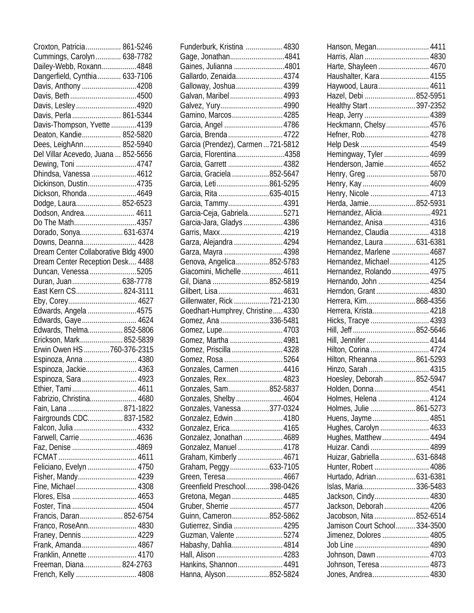| Croxton, Patricia 861-5246                     |  |
|------------------------------------------------|--|
| Cummings, Carolyn 638-7782                     |  |
| Dailey-Webb, Roxann4848                        |  |
| Dangerfield, Cynthia 633-7106                  |  |
| Davis, Anthony 4208                            |  |
| Davis, Beth4500                                |  |
| Davis, Lesley4920                              |  |
| Davis, Perla  861-5344                         |  |
|                                                |  |
| Davis-Thompson, Yvette 4139                    |  |
| Deaton, Kandie 852-5820                        |  |
| Dees, LeighAnn 852-5940                        |  |
| Del Villar Acevedo, Juana  852-5656            |  |
| Dewing, Toni 4747                              |  |
| Dhindsa, Vanessa 4612                          |  |
| Dickinson, Dustin4735                          |  |
| Dickson, Rhonda 4649                           |  |
| Dodge, Laura 852-6523                          |  |
| Dodson, Andrea 4611                            |  |
| Do The Math4357                                |  |
| Dorado, Sonya 631-6374                         |  |
| Downs, Deanna 4428                             |  |
| Dream Center Collaborative Bldg 4900           |  |
| Dream Center Reception Desk 4488               |  |
|                                                |  |
| Duncan, Venessa 5205                           |  |
| Duran, Juan 638-7778                           |  |
| East Kern CS 824-3111                          |  |
|                                                |  |
| Edwards, Angela 4575                           |  |
| Edwards, Gaye 4624                             |  |
| Edwards, Thelma 852-5806                       |  |
| Erickson, Mark 852-5839                        |  |
| Erwin Owen HS  760-376-2315                    |  |
| Espinoza, Anna  4380                           |  |
| Espinoza, Jackie 4363                          |  |
| Espinoza, Sara  4923                           |  |
| Ethier, Tami 4611                              |  |
|                                                |  |
|                                                |  |
| Fabrizio, Christina 4680                       |  |
| Fain, Lana  871-1822                           |  |
| Fairgrounds CDC 837-1582                       |  |
| Falcon, Julia  4332                            |  |
| Farwell, Carrie 4636                           |  |
| Faz, Denise 4869                               |  |
|                                                |  |
| Feliciano, Evelyn  4750                        |  |
| Fisher, Mandy 4239                             |  |
| Fine, Michael 4308                             |  |
| Flores, Elsa  4653                             |  |
|                                                |  |
| Foster, Tina  4504                             |  |
| Francis, Daran 852-6754                        |  |
| Franco, RoseAnn 4830                           |  |
| Franey, Dennis  4229                           |  |
| Frank, Amanda 4867                             |  |
| Franklin, Annette  4170                        |  |
| Freeman, Diana 824-2763<br>French, Kelly  4808 |  |

| Funderburk, Kristina  4830                        |  |
|---------------------------------------------------|--|
| Gage, Jonathan4841                                |  |
| Gaines, Julianna 4801                             |  |
| Gallardo, Zenaida 4374                            |  |
| Galloway, Joshua 4399                             |  |
| Galvan, Maribel 4993                              |  |
| Galvez, Yury4990                                  |  |
| Gamino, Marcos 4285                               |  |
| Garcia, Angel  4786                               |  |
| Garcia, Brenda  4722                              |  |
| Garcia (Prendez), Carmen721-5812                  |  |
| Garcia, Florentina4358                            |  |
| Garcia, Garrett  4382                             |  |
| Garcia, Graciela 852-5647                         |  |
| Garcia, Leti861-5295                              |  |
| Garcia, Rita 635-4015                             |  |
| Garcia, Tammy 4391                                |  |
| Garcia-Ceja, Gabriela5271                         |  |
| Garcia-Jara, Gladys  4386                         |  |
| Garris, Maxx4219                                  |  |
| Garza, Alejandra  4294                            |  |
| Garza, Mayra 4398                                 |  |
|                                                   |  |
| Genova, Angelica852-5783                          |  |
| Giacomini, Michelle  4611                         |  |
| Gil, Diana 852-5819                               |  |
| Gilbert, Lisa  4631<br>Gillenwater, Rick 721-2130 |  |
|                                                   |  |
|                                                   |  |
| Goedhart-Humphrey, Christine 4330                 |  |
| Gomez, Ana 336-5481                               |  |
| Gomez, Lupe4703                                   |  |
| Gomez, Martha  4981                               |  |
| Gomez, Priscilla  4328                            |  |
| Gomez, Rosa 5264                                  |  |
| Gonzales, Carmen  4416                            |  |
| Gonzales, Rex 4823                                |  |
| Gonzales, Sam852-5837                             |  |
| Gonzales, Shelby 4604                             |  |
| Gonzales, Vanessa 377-0324                        |  |
| Gonzalez, Edwin  4180                             |  |
| Gonzalez, Erica 4165                              |  |
| Gonzalez, Jonathan  4689                          |  |
| Gonzalez, Manuel  4178                            |  |
|                                                   |  |
| Graham, Kimberly  4671                            |  |
| Graham, Peggy633-7105                             |  |
| Green, Teresa  4667                               |  |
| Greenfield Preschool398-0426                      |  |
| Gretona, Megan  4485                              |  |
| Gruber, Sherrie  4577                             |  |
| Guinn, Cameron852-5862                            |  |
|                                                   |  |
| Gutierrez, Sindia  4295<br>Guzman, Valente 5274   |  |
| Habashy, Dahlia4814                               |  |
|                                                   |  |
| Hankins, Shannon 4491<br>Hanna, Alyson852-5824    |  |

| Hanson, Megan 4411            |  |
|-------------------------------|--|
| Harris, Alan  4830            |  |
| Harte, Shayleen 4670          |  |
| Haushalter, Kara 4155         |  |
| Haywood, Laura 4611           |  |
| Hazel, Debi 852-5951          |  |
| Healthy Start  397-2352       |  |
|                               |  |
|                               |  |
| Heckmann, Chelsy 4576         |  |
| Hefner, Rob 4278              |  |
|                               |  |
| Hemingway, Tyler  4699        |  |
| Henderson, Jamie 4652         |  |
| Henry, Greg  5870             |  |
|                               |  |
| Henry, Nicole  4713           |  |
| Herda, Jamie852-5931          |  |
|                               |  |
| Hernandez, Alicia4921         |  |
| Hernandez, Anisa  4316        |  |
| Hernandez, Claudia  4318      |  |
| Hernandez, Laura  631-6381    |  |
| Hernandez, Marlene  4687      |  |
| Hernandez, Michael 4125       |  |
| Hernandez, Rolando  4975      |  |
| Hernando, John  4254          |  |
| Herndon, Grant  4830          |  |
|                               |  |
| Herrera, Kim868-4356          |  |
| Herrera, Krista 4218          |  |
| Hicks, Tracye  4393           |  |
|                               |  |
| Hill, Jennifer  4144          |  |
| Hilton, Corina  4724          |  |
| Hilton, Rheanna  861-5293     |  |
| Hinzo, Sarah  4315            |  |
| Hoesley, Deborah  852-5947    |  |
| Holden, Donna  4541           |  |
| Holmes, Helena  4124          |  |
|                               |  |
| Holmes, Julie  861-5273       |  |
| Huens, Jayme 4851             |  |
| Hughes, Carolyn  4633         |  |
| Hughes, Matthew 4494          |  |
| Huizar. Candi  4899           |  |
| Huizar, Gabriella  631-6848   |  |
| Hunter, Robert  4086          |  |
| Hurtado, Adrian 631-6381      |  |
| Islas, Maria 336-5483         |  |
| Jackson, Cindy 4830           |  |
|                               |  |
| Jackson, Deborah 4206         |  |
| Jacobson, Nita  852-6514      |  |
| Jamison Court School 334-3500 |  |
| Jimenez, Dolores  4805        |  |
|                               |  |
| Johnson, Dawn  4703           |  |
| Johnson, Teresa  4873         |  |
| Jones, Andrea 4830            |  |
|                               |  |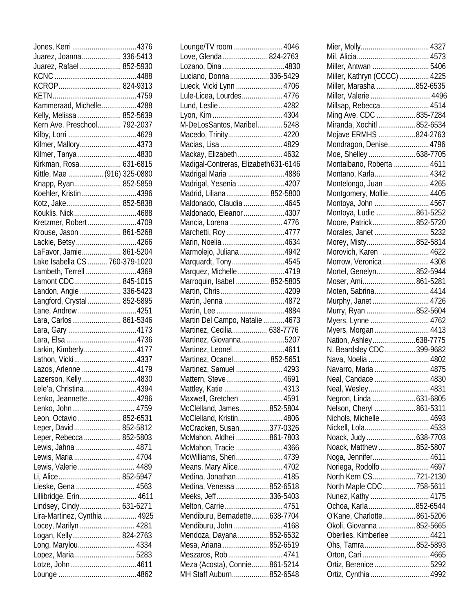| Juarez, Joanna 336-5413        |  |
|--------------------------------|--|
| Juarez, Rafael  852-5930       |  |
|                                |  |
| KCROP 824-9313                 |  |
|                                |  |
| Kammeraad, Michelle4288        |  |
| Kelly, Melissa  852-5639       |  |
| Kern Ave. Preschool 792-2037   |  |
|                                |  |
| Kilmer, Mallory4373            |  |
| Kilmer, Tanya 4830             |  |
| Kirkman, Rosa 631-6815         |  |
|                                |  |
| Kittle, Mae  (916) 325-0880    |  |
| Knapp, Ryan 852-5859           |  |
| Koehler, Kristin 4396          |  |
| Kotz, Jake 852-5838            |  |
| Kouklis, Nick4688              |  |
| Kretzmer, Robert 4709          |  |
| Krouse, Jason  861-5268        |  |
| Lackie, Betsy4266              |  |
| LaFavor, Jamie 861-5204        |  |
| Lake Isabella CS  760-379-1020 |  |
| Lambeth, Terrell 4369          |  |
| Lamont CDC 845-1015            |  |
| Landon, Angie  336-5423        |  |
| Langford, Crystal  852-5895    |  |
| Lane, Andrew 4251              |  |
| Lara, Carlos 861-5346          |  |
|                                |  |
|                                |  |
| Larkin, Kimberly4177           |  |
| Lathon, Vicki4337              |  |
| Lazos, Arlenne 4179            |  |
| Lazerson, Kelly4830            |  |
| Lele'a. Christina4394          |  |
| Lenko, Jeannette4296           |  |
| Lenko, John 4759               |  |
| Leon, Octavio  852-6531        |  |
| Leper, David  852-5812         |  |
| Leper, Rebecca  852-5803       |  |
| Lewis, Jahna  4871             |  |
| Lewis, Maria  4704             |  |
| Lewis, Valerie  4489           |  |
|                                |  |
| Li, Alice 852-5947             |  |
| Lieske, Gena  4563             |  |
| Lillibridge, Erin 4611         |  |
| Lindsey, Cindy 631-6271        |  |
| Lira-Martinez, Cynthia  4925   |  |
| Locey, Marilyn  4281           |  |
| Logan, Kelly 824-2763          |  |
| Long, Marylou 4334             |  |
| Lopez, Maria 5283              |  |
| Lotze, John4611                |  |
|                                |  |

| Lounge/TV room  4046                  |  |
|---------------------------------------|--|
| Love, Glenda 824-2763                 |  |
| Lozano, Dina 4830                     |  |
| Luciano, Donna 336-5429               |  |
| Lueck, Vicki Lynn  4706               |  |
| Lule-Licea, Lourdes 4776              |  |
| Lund, Leslie 4282                     |  |
|                                       |  |
| M-DeLosSantos, Maribel5248            |  |
| Macedo, Trinity4220                   |  |
| Macias, Lisa  4829                    |  |
| Mackay, Elizabeth  4632               |  |
| Madigal-Contreras, Elizabeth 631-6146 |  |
| Madrigal Maria 4886                   |  |
| Madrigal, Yesenia 4207                |  |
| Madrid, Liliana 852-5800              |  |
| Maldonado, Claudia 4645               |  |
| Maldonado, Eleanor 4307               |  |
| Mancia, Lorena 4776                   |  |
| Marchetti, Roy4777                    |  |
| Marin, Noelia 4634                    |  |
| Marmolejo, Juliana 4942               |  |
| Marquardt, Tony4545                   |  |
| Marquez, Michelle 4719                |  |
| Marroquin, Isabel  852-5805           |  |
| Martin, Chris4209                     |  |
| Martin, Jenna 4872                    |  |
|                                       |  |
| Martin Del Campo, Natalie4673         |  |
| Martinez, Cecilia 638-7776            |  |
| Martinez, Giovanna 5207               |  |
| Martinez, Leonel4611                  |  |
| Martinez, Ocanel 852-5651             |  |
| Martinez, Samuel  4293                |  |
| Mattern, Steve4691                    |  |
| Mattley, Katie  4313                  |  |
| Maxwell, Gretchen  4591               |  |
| McClelland, James852-5804             |  |
| McClelland, Kristin 4806              |  |
| McCracken, Susan377-0326              |  |
| McMahon, Aldhei 861-7803              |  |
| McMahon, Tracie  4366                 |  |
| McWilliams, Sheri 4739                |  |
| Means, Mary Alice 4702                |  |
| Medina, Jonathan4185                  |  |
| Medina, Venessa 852-6518              |  |
| Meeks, Jeff336-5403                   |  |
| Melton, Carrie4751                    |  |
| Mendiburu, Bernadette638-7704         |  |
| Mendiburu, John  4168                 |  |
| Mendoza, Dayana 852-6532              |  |
| Mesa, Ariana 852-6519                 |  |
| Meszaros, Rob4741                     |  |
| Meza (Acosta), Connie861-5214         |  |
| MH Staff Auburn852-6548               |  |
|                                       |  |

| Miller, Antwan 5406          |  |
|------------------------------|--|
| Miller, Kathryn (CCCC)  4225 |  |
| Miller, Marasha 852-6535     |  |
| Miller, Valerie 4496         |  |
| Millsap, Rebecca 4514        |  |
| Ming Ave. CDC 835-7284       |  |
| Miranda, Xochitl  852-6534   |  |
| Mojave ERMHS 824-2763        |  |
| Mondragon, Denise 4796       |  |
|                              |  |
| Moe, Shelley 638-7705        |  |
| Montalbano, Roberta  4611    |  |
| Montano, Karla 4342          |  |
| Montelongo, Juan  4265       |  |
| Montgomery, Mollie 4405      |  |
| Montoya, John  4567          |  |
| Montoya, Ludie 861-5252      |  |
| Moore, Patrick 852-5720      |  |
| Morales, Janet  5232         |  |
| Morey, Misty852-5814         |  |
| Morovich, Karen  4622        |  |
| Morrow, Veronica 4308        |  |
| Mortel, Genelyn852-5944      |  |
| Moser, Ami861-5281           |  |
| Moten, Sabrina 4414          |  |
| Murphy, Janet  4726          |  |
| Murry, Ryan 852-5604         |  |
| Myers, Lynne  4762           |  |
| Myers, Morgan 4413           |  |
|                              |  |
| Nation, Ashley638-7775       |  |
| N. Beardsley CDC 399-9682    |  |
| Nava, Noelia  4802           |  |
| Navarro, Maria  4875         |  |
| Neal, Candace  4830          |  |
| Neal, Wesley 4831            |  |
| Negron, Linda  631-6805      |  |
| Nelson, Cheryl 861-5311      |  |
| Nichols, Michelle 4693       |  |
| Nickell, Lola 4533           |  |
| Noack, Judy  638-7703        |  |
| Noack, Matthew  852-5807     |  |
| Noga, Jennifer 4611          |  |
| Noriega, Rodolfo  4697       |  |
| North Kern CS 721-2130       |  |
| North Maple CDC 758-5611     |  |
| Nunez, Kathy  4175           |  |
| Ochoa, Karla 852-6544        |  |
| O'Kane, Charlotte 861-5206   |  |
| Okoli, Giovanna 852-5665     |  |
| Oberlies, Kimberlee  4421    |  |
| Ohs, Tamra852-5893           |  |
|                              |  |
| Orton, Cari  4665            |  |
| Ortiz, Berenice  5292        |  |
| Ortiz, Cynthia  4992         |  |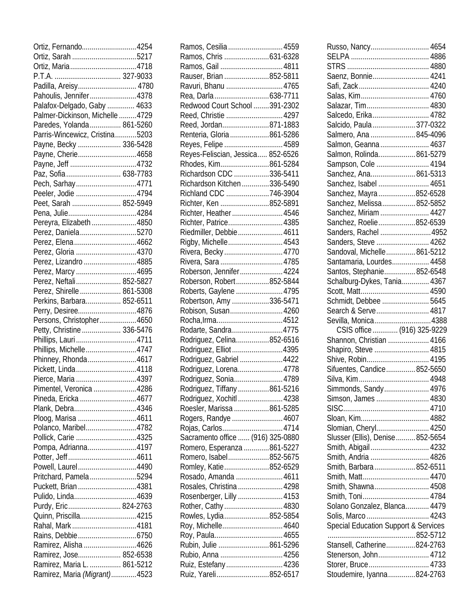| Ortiz, Fernando4254                                         |  |
|-------------------------------------------------------------|--|
|                                                             |  |
| Ortiz, Maria4718                                            |  |
|                                                             |  |
| Padilla, Areisy 4780                                        |  |
| Pahoulis, Jennifer4378                                      |  |
| Palafox-Delgado, Gaby  4633                                 |  |
| Palmer-Dickinson, Michelle4729                              |  |
|                                                             |  |
| Paredes, Yolanda 861-5260                                   |  |
| Parris-Wincewicz, Cristina5203                              |  |
| Payne, Becky  336-5428                                      |  |
| Payne, Cherie4658                                           |  |
|                                                             |  |
| Paz, Sofia  638-7783                                        |  |
| Pech, Sarhay4771                                            |  |
| Peeler, Jodie 4794                                          |  |
| Peet, Sarah  852-5949                                       |  |
| Pena, Julie4284                                             |  |
| Pereyra, Elizabeth 4850                                     |  |
| Perez, Daniela5270                                          |  |
| Perez, Elena 4662                                           |  |
| Perez, Gloria 4370                                          |  |
|                                                             |  |
| Perez, Lizandro 4885                                        |  |
| Perez, Marcy 4695                                           |  |
| Perez, Neftali 852-5827                                     |  |
| Perez, Shirelle  861-5308                                   |  |
| Perkins, Barbara 852-6511                                   |  |
|                                                             |  |
| Perry, Desiree4876                                          |  |
|                                                             |  |
| Persons, Christopher4650                                    |  |
| Petty, Christine 336-5476                                   |  |
| Phillips, Lauri4711                                         |  |
| Phillips, Michelle4747                                      |  |
| Phinney, Rhonda 4617                                        |  |
| Pickett, Linda4118                                          |  |
| Pierce, Maria 4397                                          |  |
| Pimentel. Veronica 4286                                     |  |
| Pineda, Ericka 4677                                         |  |
| Plank, Debra4346                                            |  |
| Ploog, Marisa 4611                                          |  |
| Polanco, Maribel4782                                        |  |
| Pollick, Carie 4325                                         |  |
| Pompa, Adrianna4197                                         |  |
|                                                             |  |
| Powell, Laurel4490                                          |  |
| Pritchard, Pamela5294                                       |  |
|                                                             |  |
| Puckett, Brian4381                                          |  |
| Pulido, Linda4639                                           |  |
| Purdy, Eric 824-2763                                        |  |
| Quinn, Priscilla4215                                        |  |
| Rahal, Mark4181                                             |  |
|                                                             |  |
| Ramirez, Alisha 4626                                        |  |
| Ramirez, Jose 852-6538                                      |  |
| Ramirez, Maria L.  861-5212<br>Ramirez, Maria (Migrant)4523 |  |

| Ramos, Cesilia  4559                                    |  |
|---------------------------------------------------------|--|
| Ramos, Chris 631-6328                                   |  |
| Ramos, Gail 4811                                        |  |
| Rauser, Brian 852-5811                                  |  |
| Ravuri, Bhanu  4765                                     |  |
| Rea, Darla 638-7711                                     |  |
| Redwood Court School 391-2302                           |  |
|                                                         |  |
| Reed, Christie  4297                                    |  |
| Reed, Jordan871-1883                                    |  |
| Renteria, Gloria861-5286                                |  |
| Reyes, Felipe  4589                                     |  |
| Reyes-Feliscian, Jessica 852-6526                       |  |
| Rhodes, Kim861-5284                                     |  |
| Richardson CDC 336-5411                                 |  |
| Richardson Kitchen336-5490                              |  |
| Richland CDC 746-3904                                   |  |
| Richter, Ken 852-5891                                   |  |
| Richter, Heather  4546                                  |  |
| Richter, Patrice 4385                                   |  |
| Riedmiller, Debbie 4611                                 |  |
| Rigby, Michelle 4543                                    |  |
| Rivera, Becky 4770                                      |  |
| Rivera, Sara 4785                                       |  |
| Roberson, Jennifer 4224                                 |  |
| Roberson, Robert852-5844                                |  |
| Roberts, Gaylene  4795                                  |  |
| Robertson, Amy 336-5471                                 |  |
| Robison, Susan 4260                                     |  |
|                                                         |  |
| Rodarte, Sandra4775                                     |  |
| Rodriquez, Celina852-6516                               |  |
| Rodriquez, Elliot 4395                                  |  |
| Rodriguez, Gabriel 4422                                 |  |
| Rodriguez, Lorena 4778                                  |  |
| Rodriguez, Sonia 4789                                   |  |
|                                                         |  |
| Rodriguez, Tiffany 861-5216<br>Rodriguez, Xochitl  4238 |  |
| Roesler, Marissa 861-5285                               |  |
|                                                         |  |
| Rogers, Randye  4607                                    |  |
| Rojas, Carlos4714<br>Sacramento office  (916) 325-0880  |  |
|                                                         |  |
| Romero, Esperanza 861-5227                              |  |
| Romero, Isabel852-5675                                  |  |
| Romley, Katie852-6529                                   |  |
| Rosado, Amanda  4611                                    |  |
| Rosales, Christina  4298                                |  |
| Rosenberger, Lilly  4153                                |  |
| Rother, Cathy4830                                       |  |
| Rowles, Lydia852-5854                                   |  |
| Roy, Michelle 4640                                      |  |
|                                                         |  |
| Rubin, Julie 861-5296                                   |  |
| Rubio, Anna 4256                                        |  |
| Ruiz, Estefany 4236                                     |  |
| Ruiz, Yareli852-6517                                    |  |

| Russo, Nancy 4654                                |  |
|--------------------------------------------------|--|
|                                                  |  |
|                                                  |  |
| Saenz, Bonnie 4241                               |  |
|                                                  |  |
| Salas, Kim 4760                                  |  |
|                                                  |  |
| Salazar, Tim 4830                                |  |
| Salcedo, Erika 4782                              |  |
| Salcido, Paula 377-0322                          |  |
| Salmero, Ana  845-4096                           |  |
| Salmon, Geanna  4637                             |  |
|                                                  |  |
| Salmon, Rolinda 861-5279                         |  |
| Sampson, Cole  4194                              |  |
| Sanchez, Ana861-5313                             |  |
| Sanchez, Isabel  4651                            |  |
| Sanchez, Mayra 852-6528                          |  |
| Sanchez, Melissa852-5852                         |  |
|                                                  |  |
| Sanchez, Miriam  4427                            |  |
| Sanchez, Roelie852-6539                          |  |
| Sanders, Rachel 4952                             |  |
| Sanders, Steve  4262                             |  |
| Sandoval, Michelle861-5212                       |  |
| Santamaria, Lourdes 4458                         |  |
|                                                  |  |
| Santos, Stephanie852-6548                        |  |
| Schalburg-Dykes, Tania 4367                      |  |
|                                                  |  |
| Schmidt, Debbee  5645                            |  |
|                                                  |  |
|                                                  |  |
| Search & Serve 4817                              |  |
| Sevilla, Monica 4388                             |  |
| CSIS office  (916) 325-9229                      |  |
| Shannon, Christian  4166                         |  |
| Shapiro, Steve  4815                             |  |
|                                                  |  |
| Shive, Robin 4195                                |  |
| Sifuentes, Candice852-5650                       |  |
|                                                  |  |
| Simmonds, Sandy 4976                             |  |
| Simson, James  4830                              |  |
|                                                  |  |
|                                                  |  |
|                                                  |  |
| Slomian, Cheryl 4250                             |  |
| Slusser (Ellis), Denise852-5654                  |  |
| Smith, Abigail 4232                              |  |
| Smith, Andria  4826                              |  |
| Smith, Barbara852-6511                           |  |
|                                                  |  |
|                                                  |  |
| Smith, Shawna 4508                               |  |
| Smith, Toni 4784                                 |  |
| Solano Gonzalez, Blanca 4479                     |  |
| Solis, Marco  4243                               |  |
| Special Education Support & Services             |  |
|                                                  |  |
|                                                  |  |
| Stansell, Catherine824-2763                      |  |
| Stenerson, John 4712                             |  |
| Storer, Bruce 4733<br>Stoudemire, Iyanna824-2763 |  |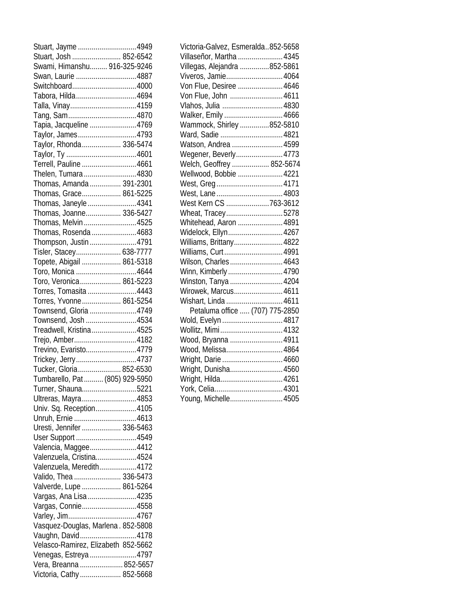| Stuart, Jayme 4949                                  |  |
|-----------------------------------------------------|--|
| Stuart, Josh  852-6542                              |  |
| Swami, Himanshu 916-325-9246                        |  |
| Swan, Laurie 4887                                   |  |
| Switchboard4000                                     |  |
| Tabora, Hilda4694                                   |  |
| Talla, Vinay4159                                    |  |
|                                                     |  |
| Tapia, Jacqueline 4769                              |  |
|                                                     |  |
| Taylor, James4793                                   |  |
| Taylor, Rhonda  336-5474                            |  |
|                                                     |  |
| Terrell, Pauline 4661                               |  |
| Thelen, Tumara4830                                  |  |
| Thomas, Amanda  391-2301                            |  |
| Thomas, Grace 861-5225                              |  |
| Thomas, Janeyle4341                                 |  |
| Thomas, Joanne 336-5427                             |  |
| Thomas, Melvin 4525                                 |  |
| Thomas, Rosenda 4683                                |  |
| Thompson, Justin 4791                               |  |
| Tisler, Stacey 638-7777                             |  |
|                                                     |  |
| Topete, Abigail  861-5318                           |  |
| Toro, Monica 4644                                   |  |
| Toro, Veronica 861-5223                             |  |
| Torres, Tomasita 4443                               |  |
| Torres, Yvonne 861-5254                             |  |
| Townsend, Gloria 4749                               |  |
| Townsend, Josh 4534                                 |  |
| Treadwell, Kristina4525                             |  |
| Trejo, Amber4182                                    |  |
| Trevino, Evaristo4779                               |  |
| Trickey, Jerry4737                                  |  |
| Tucker, Gloria 852-6530                             |  |
| Tumbarello, Pat  (805) 929-5950                     |  |
| Turner, Shauna5221                                  |  |
|                                                     |  |
| Ultreras, Mayra4853                                 |  |
| Univ. Sq. Reception4105                             |  |
| Unruh, Ernie 4613                                   |  |
| Uresti, Jennifer  336-5463                          |  |
| User Support 4549                                   |  |
| Valencia, Maggee4412                                |  |
| Valenzuela, Cristina4524                            |  |
| Valenzuela, Meredith4172                            |  |
| Valido, Thea  336-5473                              |  |
| Valverde, Lupe  861-5264                            |  |
| Vargas, Ana Lisa 4235                               |  |
| Vargas, Connie4558                                  |  |
|                                                     |  |
|                                                     |  |
|                                                     |  |
| Vasquez-Douglas, Marlena. 852-5808                  |  |
| Vaughn, David4178                                   |  |
| Velasco-Ramirez, Elizabeth 852-5662                 |  |
| Venegas, Estreya 4797                               |  |
| Vera, Breanna  852-5657<br>Victoria, Cathy 852-5668 |  |

| Victoria-Galvez, Esmeralda852-5658 |  |
|------------------------------------|--|
| Villaseñor, Martha  4345           |  |
| Villegas, Alejandra 852-5861       |  |
| Viveros, Jamie 4064                |  |
| Von Flue, Desiree  4646            |  |
| Von Flue, John  4611               |  |
| Vlahos, Julia  4830                |  |
| Walker, Emily  4666                |  |
| Wammock, Shirley 852-5810          |  |
| Ward, Sadie  4821                  |  |
| Watson, Andrea  4599               |  |
| Wegener, Beverly 4773              |  |
| Welch, Geoffrey  852-5674          |  |
| Wellwood, Bobbie  4221             |  |
|                                    |  |
|                                    |  |
| West Kern CS 763-3612              |  |
| Wheat, Tracey5278                  |  |
| Whitehead, Aaron  4891             |  |
| Widelock, Ellyn 4267               |  |
| Williams, Brittany 4822            |  |
| Williams, Curt 4991                |  |
| Wilson, Charles 4643               |  |
| Winn, Kimberly4790                 |  |
| Winston, Tanya  4204               |  |
| Wirowek, Marcus 4611               |  |
| Wishart, Linda  4611               |  |
| Petaluma office  (707) 775-2850    |  |
| Wold, Evelyn  4817                 |  |
| Wollitz, Mimi 4132                 |  |
| Wood, Bryanna  4911                |  |
| Wood, Melissa 4864                 |  |
| Wright, Darie  4660                |  |
| Wright, Dunisha 4560               |  |
| Wright, Hilda 4261                 |  |
|                                    |  |
| Young, Michelle 4505               |  |